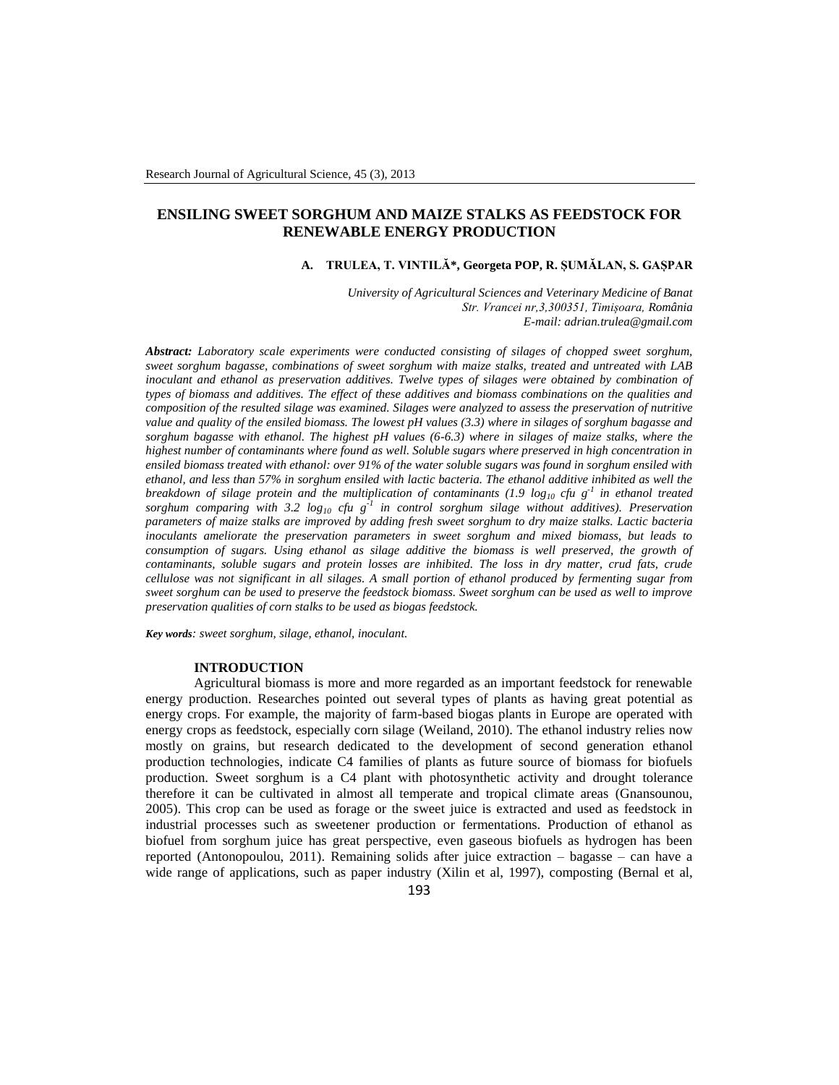# **ENSILING SWEET SORGHUM AND MAIZE STALKS AS FEEDSTOCK FOR RENEWABLE ENERGY PRODUCTION**

# **A. TRULEA, T. VINTILĂ\*, Georgeta POP, R. ȘUMĂLAN, S. GAȘPAR**

*University of Agricultural Sciences and Veterinary Medicine of Banat Str. Vrancei nr,3,300351, Timișoara, România E-mail: adrian.trulea@gmail.com*

*Abstract: Laboratory scale experiments were conducted consisting of silages of chopped sweet sorghum, sweet sorghum bagasse, combinations of sweet sorghum with maize stalks, treated and untreated with LAB inoculant and ethanol as preservation additives. Twelve types of silages were obtained by combination of types of biomass and additives. The effect of these additives and biomass combinations on the qualities and composition of the resulted silage was examined. Silages were analyzed to assess the preservation of nutritive value and quality of the ensiled biomass. The lowest pH values (3.3) where in silages of sorghum bagasse and sorghum bagasse with ethanol. The highest pH values (6-6.3) where in silages of maize stalks, where the highest number of contaminants where found as well. Soluble sugars where preserved in high concentration in ensiled biomass treated with ethanol: over 91% of the water soluble sugars was found in sorghum ensiled with ethanol, and less than 57% in sorghum ensiled with lactic bacteria. The ethanol additive inhibited as well the breakdown of silage protein and the multiplication of contaminants (1.9 log<sup>10</sup> cfu g-1 in ethanol treated sorghum comparing with 3.2 log<sup>10</sup> cfu g-1 in control sorghum silage without additives). Preservation parameters of maize stalks are improved by adding fresh sweet sorghum to dry maize stalks. Lactic bacteria inoculants ameliorate the preservation parameters in sweet sorghum and mixed biomass, but leads to*  consumption of sugars. Using ethanol as silage additive the biomass is well preserved, the growth of *contaminants, soluble sugars and protein losses are inhibited. The loss in dry matter, crud fats, crude cellulose was not significant in all silages. A small portion of ethanol produced by fermenting sugar from sweet sorghum can be used to preserve the feedstock biomass. Sweet sorghum can be used as well to improve preservation qualities of corn stalks to be used as biogas feedstock.*

*Key words: sweet sorghum, silage, ethanol, inoculant.*

### **INTRODUCTION**

Agricultural biomass is more and more regarded as an important feedstock for renewable energy production. Researches pointed out several types of plants as having great potential as energy crops. For example, the majority of farm-based biogas plants in Europe are operated with energy crops as feedstock, especially corn silage (Weiland, 2010). The ethanol industry relies now mostly on grains, but research dedicated to the development of second generation ethanol production technologies, indicate C4 families of plants as future source of biomass for biofuels production. Sweet sorghum is a C4 plant with photosynthetic activity and drought tolerance therefore it can be cultivated in almost all temperate and tropical climate areas (Gnansounou, 2005). This crop can be used as forage or the sweet juice is extracted and used as feedstock in industrial processes such as sweetener production or fermentations. Production of ethanol as biofuel from sorghum juice has great perspective, even gaseous biofuels as hydrogen has been reported (Antonopoulou, 2011). Remaining solids after juice extraction – bagasse – can have a wide range of applications, such as paper industry (Xilin et al, 1997), composting (Bernal et al,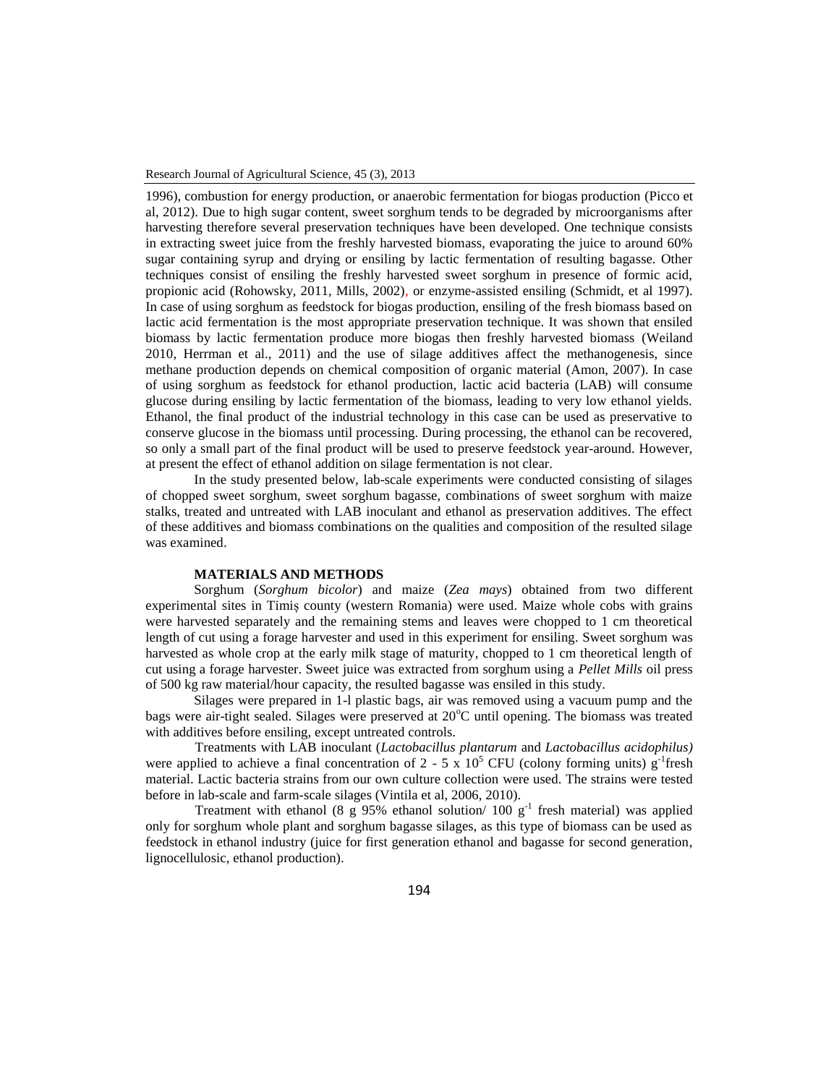Research Journal of Agricultural Science, 45 (3), 2013

1996), combustion for energy production, or anaerobic fermentation for biogas production (Picco et al, 2012). Due to high sugar content, sweet sorghum tends to be degraded by microorganisms after harvesting therefore several preservation techniques have been developed. One technique consists in extracting sweet juice from the freshly harvested biomass, evaporating the juice to around 60% sugar containing syrup and drying or ensiling by lactic fermentation of resulting bagasse. Other techniques consist of ensiling the freshly harvested sweet sorghum in presence of formic acid, propionic acid (Rohowsky, 2011, Mills, 2002), or enzyme-assisted ensiling (Schmidt, et al 1997). In case of using sorghum as feedstock for biogas production, ensiling of the fresh biomass based on lactic acid fermentation is the most appropriate preservation technique. It was shown that ensiled biomass by lactic fermentation produce more biogas then freshly harvested biomass (Weiland 2010, Herrman et al., 2011) and the use of silage additives affect the methanogenesis, since methane production depends on chemical composition of organic material (Amon, 2007). In case of using sorghum as feedstock for ethanol production, lactic acid bacteria (LAB) will consume glucose during ensiling by lactic fermentation of the biomass, leading to very low ethanol yields. Ethanol, the final product of the industrial technology in this case can be used as preservative to conserve glucose in the biomass until processing. During processing, the ethanol can be recovered, so only a small part of the final product will be used to preserve feedstock year-around. However, at present the effect of ethanol addition on silage fermentation is not clear.

In the study presented below, lab-scale experiments were conducted consisting of silages of chopped sweet sorghum, sweet sorghum bagasse, combinations of sweet sorghum with maize stalks, treated and untreated with LAB inoculant and ethanol as preservation additives. The effect of these additives and biomass combinations on the qualities and composition of the resulted silage was examined.

#### **MATERIALS AND METHODS**

Sorghum (*Sorghum bicolor*) and maize (*Zea mays*) obtained from two different experimental sites in Timiș county (western Romania) were used. Maize whole cobs with grains were harvested separately and the remaining stems and leaves were chopped to 1 cm theoretical length of cut using a forage harvester and used in this experiment for ensiling. Sweet sorghum was harvested as whole crop at the early milk stage of maturity, chopped to 1 cm theoretical length of cut using a forage harvester. Sweet juice was extracted from sorghum using a *Pellet Mills* oil press of 500 kg raw material/hour capacity, the resulted bagasse was ensiled in this study.

Silages were prepared in 1-l plastic bags, air was removed using a vacuum pump and the bags were air-tight sealed. Silages were preserved at 20<sup>o</sup>C until opening. The biomass was treated with additives before ensiling, except untreated controls.

Treatments with LAB inoculant (*Lactobacillus plantarum* and *Lactobacillus acidophilus)* were applied to achieve a final concentration of 2 - 5 x  $10^5$  CFU (colony forming units) g<sup>-1</sup>fresh material. Lactic bacteria strains from our own culture collection were used. The strains were tested before in lab-scale and farm-scale silages (Vintila et al, 2006, 2010).

Treatment with ethanol (8 g 95% ethanol solution/ 100  $g^{-1}$  fresh material) was applied only for sorghum whole plant and sorghum bagasse silages, as this type of biomass can be used as feedstock in ethanol industry (juice for first generation ethanol and bagasse for second generation, lignocellulosic, ethanol production).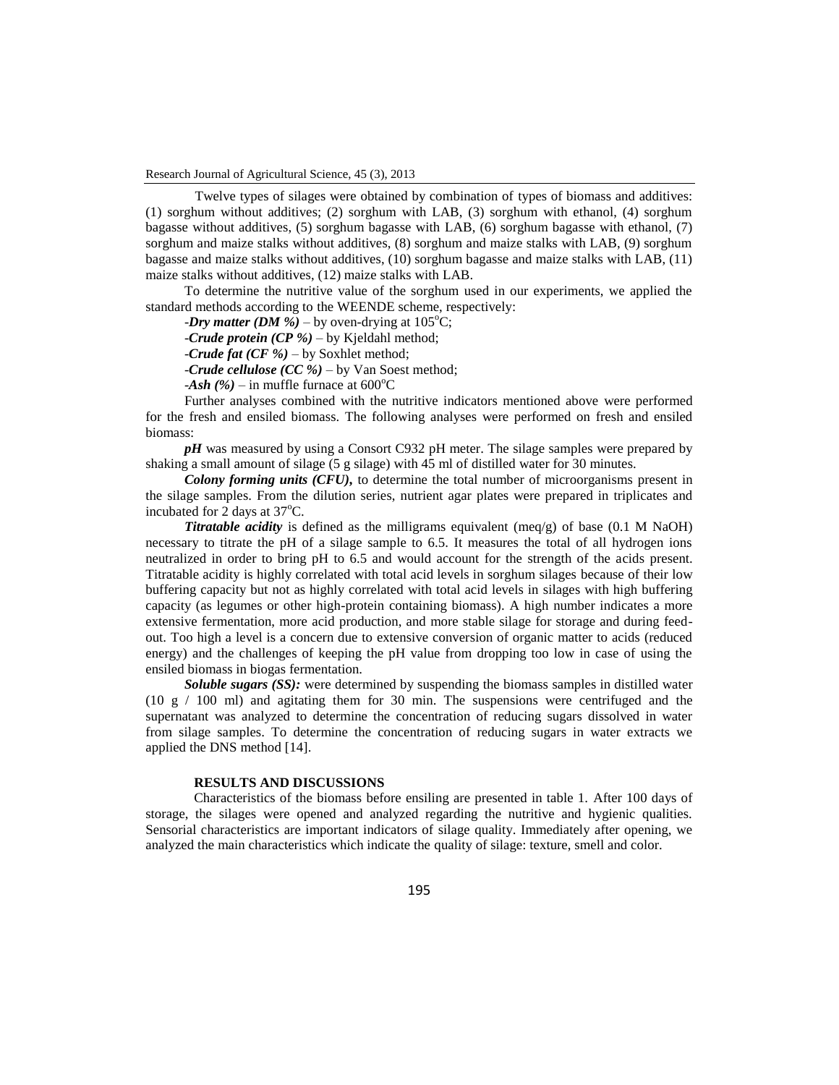Twelve types of silages were obtained by combination of types of biomass and additives: (1) sorghum without additives; (2) sorghum with LAB, (3) sorghum with ethanol, (4) sorghum bagasse without additives, (5) sorghum bagasse with LAB, (6) sorghum bagasse with ethanol, (7) sorghum and maize stalks without additives, (8) sorghum and maize stalks with LAB, (9) sorghum bagasse and maize stalks without additives, (10) sorghum bagasse and maize stalks with LAB, (11) maize stalks without additives, (12) maize stalks with LAB.

To determine the nutritive value of the sorghum used in our experiments, we applied the standard methods according to the WEENDE scheme, respectively:

*-Dry matter (DM %)* – by oven-drying at  $105^{\circ}$ C;

-*Crude protein (CP %)* – by Kjeldahl method;

-*Crude fat (CF %)* – by Soxhlet method;

-*Crude cellulose (CC %)* – by Van Soest method;

 $-Ash$  (%) – in muffle furnace at 600<sup>o</sup>C

Further analyses combined with the nutritive indicators mentioned above were performed for the fresh and ensiled biomass. The following analyses were performed on fresh and ensiled biomass:

*pH* was measured by using a Consort C932 pH meter. The silage samples were prepared by shaking a small amount of silage (5 g silage) with 45 ml of distilled water for 30 minutes.

*Colony forming units (CFU),* to determine the total number of microorganisms present in the silage samples. From the dilution series, nutrient agar plates were prepared in triplicates and incubated for 2 days at  $37^{\circ}$ C.

*Titratable acidity* is defined as the milligrams equivalent (meq/g) of base (0.1 M NaOH) necessary to titrate the pH of a silage sample to 6.5. It measures the total of all hydrogen ions neutralized in order to bring pH to 6.5 and would account for the strength of the acids present. Titratable acidity is highly correlated with total acid levels in sorghum silages because of their low buffering capacity but not as highly correlated with total acid levels in silages with high buffering capacity (as legumes or other high-protein containing biomass). A high number indicates a more extensive fermentation, more acid production, and more stable silage for storage and during feedout. Too high a level is a concern due to extensive conversion of organic matter to acids (reduced energy) and the challenges of keeping the pH value from dropping too low in case of using the ensiled biomass in biogas fermentation.

*Soluble sugars (SS):* were determined by suspending the biomass samples in distilled water (10 g / 100 ml) and agitating them for 30 min. The suspensions were centrifuged and the supernatant was analyzed to determine the concentration of reducing sugars dissolved in water from silage samples. To determine the concentration of reducing sugars in water extracts we applied the DNS method [14].

# **RESULTS AND DISCUSSIONS**

Characteristics of the biomass before ensiling are presented in table 1. After 100 days of storage, the silages were opened and analyzed regarding the nutritive and hygienic qualities. Sensorial characteristics are important indicators of silage quality. Immediately after opening, we analyzed the main characteristics which indicate the quality of silage: texture, smell and color.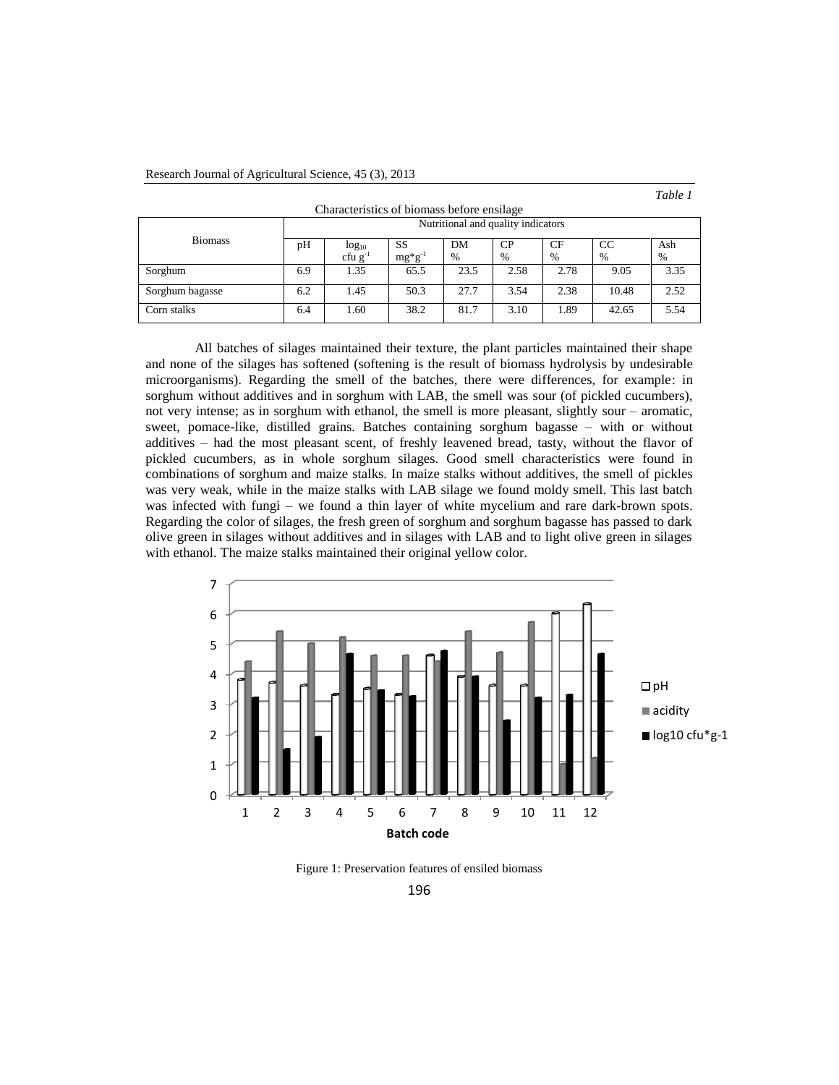| " |  |  |
|---|--|--|
|---|--|--|

| Characteristics of biomass before ensilage |                                    |              |             |      |      |                 |       |      |  |  |
|--------------------------------------------|------------------------------------|--------------|-------------|------|------|-----------------|-------|------|--|--|
|                                            | Nutritional and quality indicators |              |             |      |      |                 |       |      |  |  |
| <b>Biomass</b>                             | pH                                 | $log_{10}$   | SS          | DM   | CP   | CC<br><b>CF</b> |       | Ash  |  |  |
|                                            |                                    | cfu $g^{-1}$ | $mg*g^{-1}$ | $\%$ | $\%$ | $\%$            | $\%$  | $\%$ |  |  |
| Sorghum                                    | 6.9                                | 1.35         | 65.5        | 23.5 | 2.58 | 2.78            | 9.05  | 3.35 |  |  |
| Sorghum bagasse                            | 6.2                                | 1.45         | 50.3        | 27.7 | 3.54 | 2.38            | 10.48 | 2.52 |  |  |
| Corn stalks                                | 6.4                                | 1.60         | 38.2        | 81.7 | 3.10 | 1.89            | 42.65 | 5.54 |  |  |

All batches of silages maintained their texture, the plant particles maintained their shape and none of the silages has softened (softening is the result of biomass hydrolysis by undesirable microorganisms). Regarding the smell of the batches, there were differences, for example: in sorghum without additives and in sorghum with LAB, the smell was sour (of pickled cucumbers), not very intense; as in sorghum with ethanol, the smell is more pleasant, slightly sour – aromatic, sweet, pomace-like, distilled grains. Batches containing sorghum bagasse – with or without additives – had the most pleasant scent, of freshly leavened bread, tasty, without the flavor of pickled cucumbers, as in whole sorghum silages. Good smell characteristics were found in combinations of sorghum and maize stalks. In maize stalks without additives, the smell of pickles was very weak, while in the maize stalks with LAB silage we found moldy smell. This last batch was infected with fungi – we found a thin layer of white mycelium and rare dark-brown spots. Regarding the color of silages, the fresh green of sorghum and sorghum bagasse has passed to dark olive green in silages without additives and in silages with LAB and to light olive green in silages with ethanol. The maize stalks maintained their original yellow color.



Figure 1: Preservation features of ensiled biomass

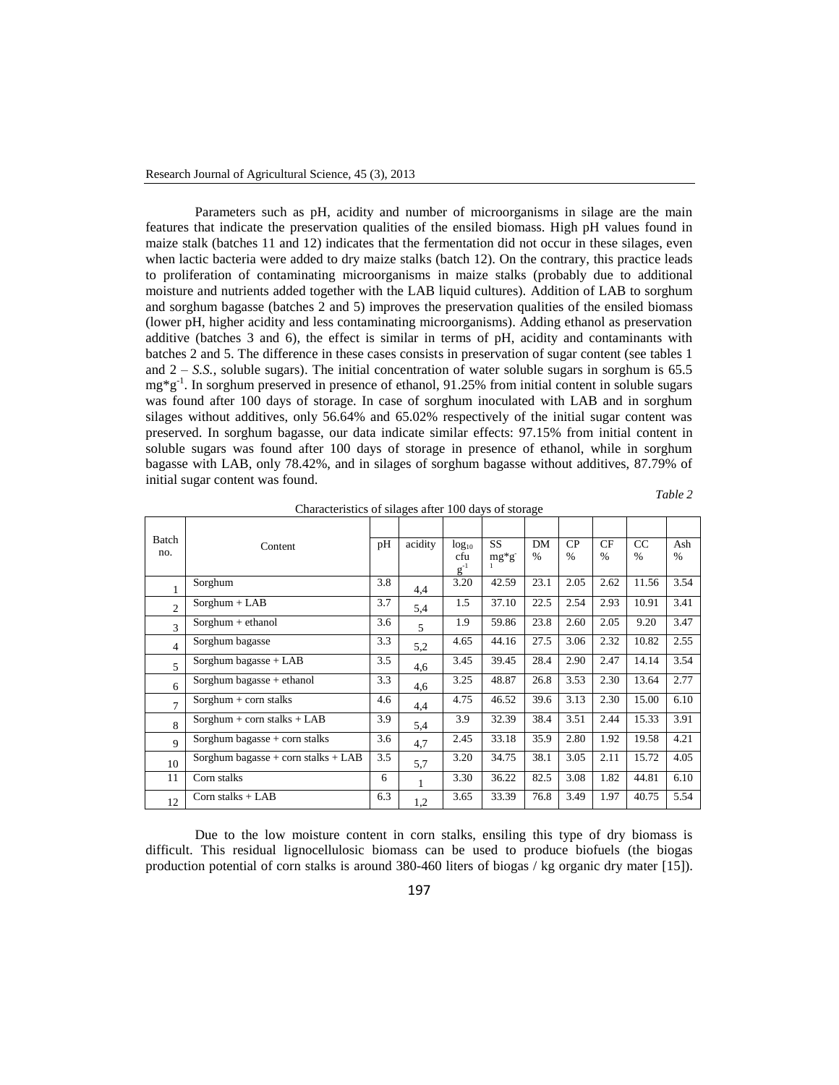Parameters such as pH, acidity and number of microorganisms in silage are the main features that indicate the preservation qualities of the ensiled biomass. High pH values found in maize stalk (batches 11 and 12) indicates that the fermentation did not occur in these silages, even when lactic bacteria were added to dry maize stalks (batch 12). On the contrary, this practice leads to proliferation of contaminating microorganisms in maize stalks (probably due to additional moisture and nutrients added together with the LAB liquid cultures). Addition of LAB to sorghum and sorghum bagasse (batches 2 and 5) improves the preservation qualities of the ensiled biomass (lower pH, higher acidity and less contaminating microorganisms). Adding ethanol as preservation additive (batches 3 and 6), the effect is similar in terms of pH, acidity and contaminants with batches 2 and 5. The difference in these cases consists in preservation of sugar content (see tables 1 and  $2 - S.S.$ , soluble sugars). The initial concentration of water soluble sugars in sorghum is  $65.5$ mg\*g-1 . In sorghum preserved in presence of ethanol, 91.25% from initial content in soluble sugars was found after 100 days of storage. In case of sorghum inoculated with LAB and in sorghum silages without additives, only 56.64% and 65.02% respectively of the initial sugar content was preserved. In sorghum bagasse, our data indicate similar effects: 97.15% from initial content in soluble sugars was found after 100 days of storage in presence of ethanol, while in sorghum bagasse with LAB, only 78.42%, and in silages of sorghum bagasse without additives, 87.79% of initial sugar content was found.

Characteristics of silages after 100 days of storage

*Table 2*

| Batch          |                                       |     |         |                   |                       |                     |                     |                     |                     |                      |
|----------------|---------------------------------------|-----|---------|-------------------|-----------------------|---------------------|---------------------|---------------------|---------------------|----------------------|
| no.            | Content                               | pH  | acidity | $log_{10}$<br>cfu | <b>SS</b><br>$mg*g^-$ | DM<br>$\frac{0}{0}$ | CP<br>$\frac{0}{0}$ | CF<br>$\frac{0}{0}$ | CC<br>$\frac{0}{0}$ | Ash<br>$\frac{0}{0}$ |
|                |                                       |     |         | $g^{-1}$          |                       |                     |                     |                     |                     |                      |
|                | Sorghum                               | 3.8 | 4,4     | 3.20              | 42.59                 | 23.1                | 2.05                | 2.62                | 11.56               | 3.54                 |
| $\overline{c}$ | $Sorghum + LAB$                       | 3.7 | 5,4     | 1.5               | 37.10                 | 22.5                | 2.54                | 2.93                | 10.91               | 3.41                 |
| $\mathbf{3}$   | $Sorghum + ethanol$                   | 3.6 | 5       | 1.9               | 59.86                 | 23.8                | 2.60                | 2.05                | 9.20                | 3.47                 |
| $\overline{4}$ | Sorghum bagasse                       | 3.3 | 5,2     | 4.65              | 44.16                 | 27.5                | 3.06                | 2.32                | 10.82               | 2.55                 |
| 5              | Sorghum bagasse + LAB                 | 3.5 | 4,6     | 3.45              | 39.45                 | 28.4                | 2.90                | 2.47                | 14.14               | 3.54                 |
| 6              | Sorghum bagasse $+$ ethanol           | 3.3 | 4,6     | 3.25              | 48.87                 | 26.8                | 3.53                | 2.30                | 13.64               | 2.77                 |
| 7              | Sorghum $+$ corn stalks               | 4.6 | 4,4     | 4.75              | 46.52                 | 39.6                | 3.13                | 2.30                | 15.00               | 6.10                 |
| 8              | Sorghum + corn stalks + $LAB$         | 3.9 | 5,4     | 3.9               | 32.39                 | 38.4                | 3.51                | 2.44                | 15.33               | 3.91                 |
| 9              | Sorghum bagasse $+$ corn stalks       | 3.6 | 4,7     | 2.45              | 33.18                 | 35.9                | 2.80                | 1.92                | 19.58               | 4.21                 |
| 10             | Sorghum bagasse + corn stalks + $LAB$ | 3.5 | 5,7     | 3.20              | 34.75                 | 38.1                | 3.05                | 2.11                | 15.72               | 4.05                 |
| 11             | Corn stalks                           | 6   | 1       | 3.30              | 36.22                 | 82.5                | 3.08                | 1.82                | 44.81               | 6.10                 |
| 12             | Corn stalks $+$ LAB                   | 6.3 | 1,2     | 3.65              | 33.39                 | 76.8                | 3.49                | 1.97                | 40.75               | 5.54                 |

Due to the low moisture content in corn stalks, ensiling this type of dry biomass is difficult. This residual lignocellulosic biomass can be used to produce biofuels (the biogas production potential of corn stalks is around 380-460 liters of biogas / kg organic dry mater [15]).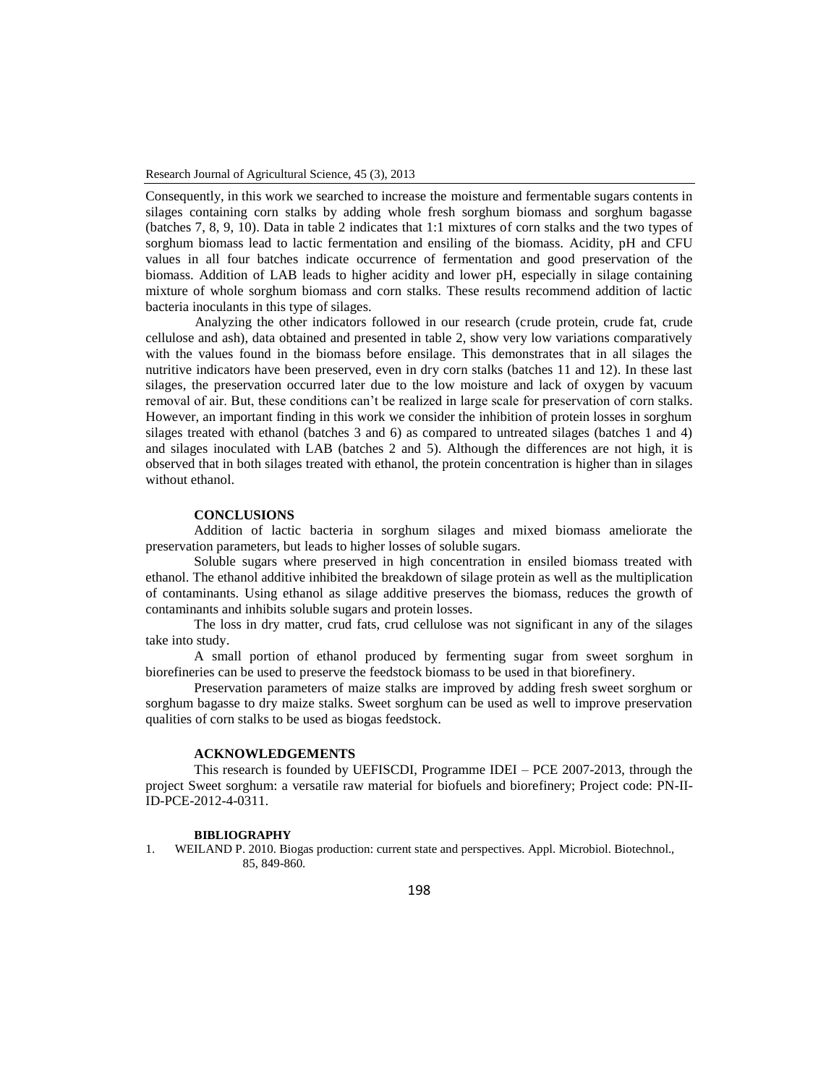Consequently, in this work we searched to increase the moisture and fermentable sugars contents in silages containing corn stalks by adding whole fresh sorghum biomass and sorghum bagasse (batches 7, 8, 9, 10). Data in table 2 indicates that 1:1 mixtures of corn stalks and the two types of sorghum biomass lead to lactic fermentation and ensiling of the biomass. Acidity, pH and CFU values in all four batches indicate occurrence of fermentation and good preservation of the biomass. Addition of LAB leads to higher acidity and lower pH, especially in silage containing mixture of whole sorghum biomass and corn stalks. These results recommend addition of lactic bacteria inoculants in this type of silages.

Analyzing the other indicators followed in our research (crude protein, crude fat, crude cellulose and ash), data obtained and presented in table 2, show very low variations comparatively with the values found in the biomass before ensilage. This demonstrates that in all silages the nutritive indicators have been preserved, even in dry corn stalks (batches 11 and 12). In these last silages, the preservation occurred later due to the low moisture and lack of oxygen by vacuum removal of air. But, these conditions can't be realized in large scale for preservation of corn stalks. However, an important finding in this work we consider the inhibition of protein losses in sorghum silages treated with ethanol (batches 3 and 6) as compared to untreated silages (batches 1 and 4) and silages inoculated with LAB (batches 2 and 5). Although the differences are not high, it is observed that in both silages treated with ethanol, the protein concentration is higher than in silages without ethanol.

# **CONCLUSIONS**

Addition of lactic bacteria in sorghum silages and mixed biomass ameliorate the preservation parameters, but leads to higher losses of soluble sugars.

Soluble sugars where preserved in high concentration in ensiled biomass treated with ethanol. The ethanol additive inhibited the breakdown of silage protein as well as the multiplication of contaminants. Using ethanol as silage additive preserves the biomass, reduces the growth of contaminants and inhibits soluble sugars and protein losses.

The loss in dry matter, crud fats, crud cellulose was not significant in any of the silages take into study.

A small portion of ethanol produced by fermenting sugar from sweet sorghum in biorefineries can be used to preserve the feedstock biomass to be used in that biorefinery.

Preservation parameters of maize stalks are improved by adding fresh sweet sorghum or sorghum bagasse to dry maize stalks. Sweet sorghum can be used as well to improve preservation qualities of corn stalks to be used as biogas feedstock.

# **ACKNOWLEDGEMENTS**

This research is founded by UEFISCDI, Programme IDEI – PCE 2007-2013, through the project Sweet sorghum: a versatile raw material for biofuels and biorefinery; Project code: PN-II-ID-PCE-2012-4-0311.

### **BIBLIOGRAPHY**

1. WEILAND P. 2010. Biogas production: current state and perspectives. Appl. Microbiol. Biotechnol., 85, 849-860.